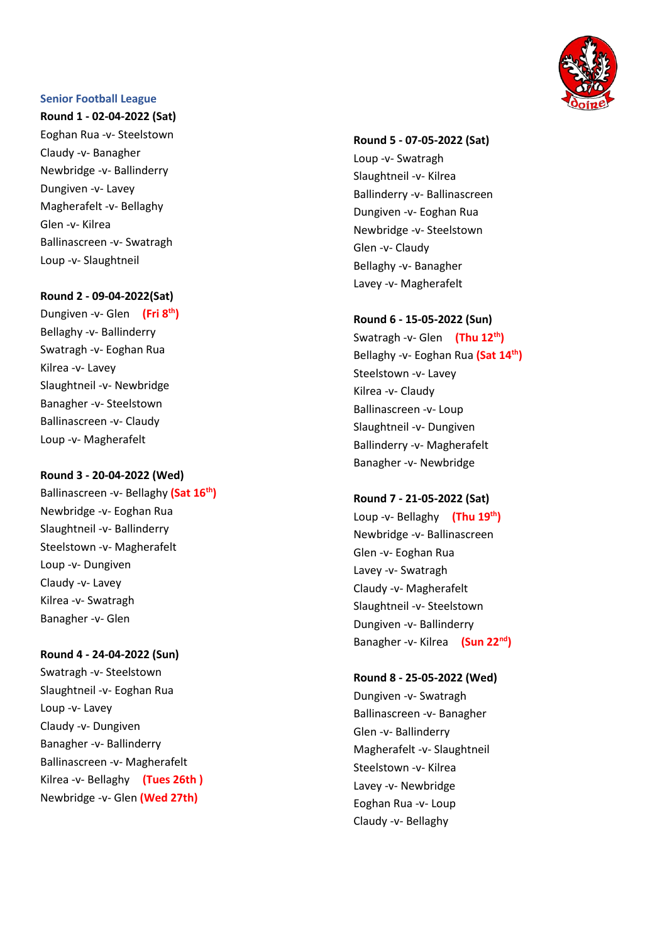### **Senior Football League**

**Round 1 - 02 -04 -2022 (Sat)** Eoghan Rua - v - Steelstown Claudy - v - Banagher Newbridge - v - Ballinderry Dungiven - v - Lavey Magherafelt - v - Bellaghy Glen - v - Kilrea Ballinascreen - v - Swatragh Loup - v - Slaughtneil

### **Round 2 - 0 9 -04 -2022(Sat)**

Dungiven - v - Glen **(Fri 8 th )** Bellaghy - v - Ballinderry Swatragh - v - Eoghan Rua Kilrea - v - Lavey Slaughtneil - v - Newbridge Banagher - v - Steelstown Ballinascreen - v - Claudy Loup - v - Magherafelt

#### **Round 3 - 20 -04 -2022 (Wed )**

Ballinascreen -v- Bellaghy (Sat 16<sup>th</sup>) Newbridge - v - Eoghan Rua Slaughtneil - v - Ballinderry Steelstown - v - Magherafelt Loup - v - Dungiven Claudy - v - Lavey Kilrea - v - Swatragh Banagher - v - Glen

**Round 4 - 24 -04 -2022 (Sun)** Swatragh - v - Steelstown Slaughtneil - v - Eoghan Rua Loup - v - Lavey Claudy - v - Dungiven Banagher - v - Ballinderry Ballinascreen - v - Magherafelt Kilrea - v - Bellaghy **(Tues 26th )** Newbridge - v - Glen **(Wed 27th )**



# **Round 5 - 07 -05 -2022 (Sat)** Loup - v - Swatragh Slaughtneil - v - Kilrea Ballinderry - v - Ballinascreen Dungiven - v - Eoghan Rua Newbridge - v - Steelstown Glen - v - Claudy Bellaghy - v - Banagher Lavey - v - Magherafelt

# **Round 6 - 1 5 -05 -2022 (Sun )**

Swatragh - v - Glen **(Thu 12th )** Bellaghy - v - Eoghan Rua **(Sat 14th )** Steelstown - v - Lavey Kilrea - v - Claudy Ballinascreen -v- Loup Slaughtneil - v - Dungiven Ballinderry - v - Magherafelt Banagher - v - Newbridge

### **Round 7 - 21 -05 -2022 (Sat )**

Loup -v- Bellaghy (Thu 19<sup>th</sup>) Newbridge - v - Ballinascreen Glen - v - Eoghan Rua Lavey -v- Swatragh Claudy - v - Magherafelt Slaughtneil - v - Steelstown Dungiven - v - Ballinderry Banagher - v - Kilrea **(Sun 22nd )**

### **Round 8 - 25 -05 -2022 (Wed)**

Dungiven - v - Swatragh Ballinascreen - v - Banagher Glen - v - Ballinderry Magherafelt - v - Slaughtneil Steelstown - v - Kilrea Lavey - v - Newbridge Eoghan Rua - v - Loup Claudy - v - Bellaghy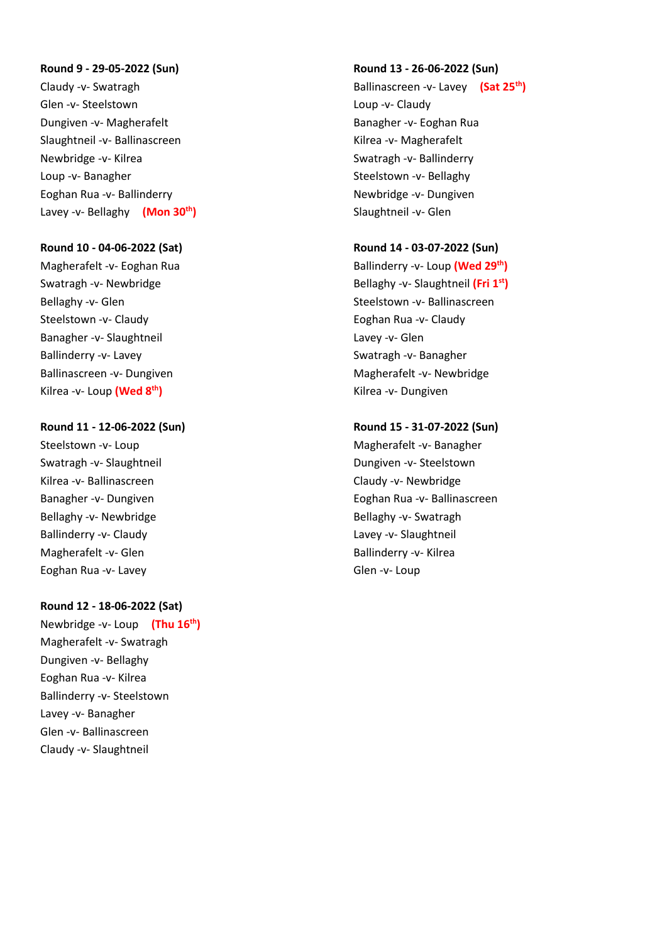### **Round 9 - 29-05-2022 (Sun)**

Claudy -v- Swatragh Glen -v- Steelstown Dungiven -v- Magherafelt Slaughtneil -v- Ballinascreen Newbridge -v- Kilrea Loup -v- Banagher Eoghan Rua -v- Ballinderry Lavey -v- Bellaghy **(Mon 30th)**

## **Round 10 - 04-06-2022 (Sat)**

Magherafelt -v- Eoghan Rua Swatragh -v- Newbridge Bellaghy -v- Glen Steelstown -v- Claudy Banagher -v- Slaughtneil Ballinderry -v- Lavey Ballinascreen -v- Dungiven Kilrea -v- Loup **(Wed 8th)**

# **Round 11 - 12-06-2022 (Sun)**

Steelstown -v- Loup Swatragh -v- Slaughtneil Kilrea -v- Ballinascreen Banagher -v- Dungiven Bellaghy -v- Newbridge Ballinderry -v- Claudy Magherafelt -v- Glen Eoghan Rua -v- Lavey

# **Round 12 - 18-06-2022 (Sat)**

Newbridge -v- Loup **(Thu 16 th)** Magherafelt -v- Swatragh Dungiven -v- Bellaghy Eoghan Rua -v- Kilrea Ballinderry -v- Steelstown Lavey -v- Banagher Glen -v- Ballinascreen Claudy -v- Slaughtneil

#### **Round 13 - 26-06-2022 (Sun)**

Ballinascreen -v- Lavey **(Sat 25th )** Loup -v- Claudy Banagher -v- Eoghan Rua Kilrea -v- Magherafelt Swatragh -v- Ballinderry Steelstown -v- Bellaghy Newbridge -v- Dungiven Slaughtneil -v- Glen

## **Round 14 - 03-07-2022 (Sun)**

Ballinderry -v- Loup **(Wed 29th)** Bellaghy -v- Slaughtneil **(Fri 1st)** Steelstown -v- Ballinascreen Eoghan Rua -v- Claudy Lavey -v- Glen Swatragh -v- Banagher Magherafelt -v- Newbridge Kilrea -v- Dungiven

# **Round 15 - 31-07-2022 (Sun)**

Magherafelt -v- Banagher Dungiven -v- Steelstown Claudy -v- Newbridge Eoghan Rua -v- Ballinascreen Bellaghy -v- Swatragh Lavey -v- Slaughtneil Ballinderry -v- Kilrea Glen -v- Loup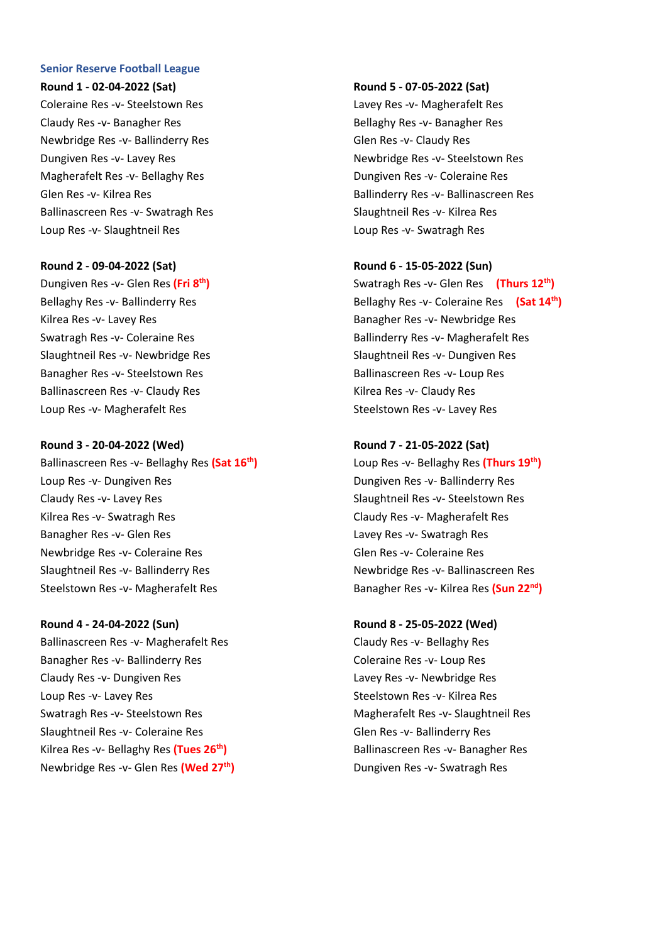### **Senior Reserve Football League**

#### **Round 1 - 02-04-2022 (Sat)**

Coleraine Res -v- Steelstown Res Claudy Res -v- Banagher Res Newbridge Res -v- Ballinderry Res Dungiven Res -v- Lavey Res Magherafelt Res -v- Bellaghy Res Glen Res -v- Kilrea Res Ballinascreen Res -v- Swatragh Res Loup Res -v- Slaughtneil Res

# **Round 2 - 09-04-2022 (Sat)**

Dungiven Res -v- Glen Res **(Fri 8 th)** Bellaghy Res -v- Ballinderry Res Kilrea Res -v- Lavey Res Swatragh Res -v- Coleraine Res Slaughtneil Res -v- Newbridge Res Banagher Res -v- Steelstown Res Ballinascreen Res -v- Claudy Res Loup Res -v- Magherafelt Res

#### **Round 3 - 20-04-2022 (Wed)**

Ballinascreen Res -v- Bellaghy Res **(Sat 16th)** Loup Res -v- Dungiven Res Claudy Res -v- Lavey Res Kilrea Res -v- Swatragh Res Banagher Res -v- Glen Res Newbridge Res -v- Coleraine Res Slaughtneil Res -v- Ballinderry Res Steelstown Res -v- Magherafelt Res

**Round 4 - 24-04-2022 (Sun)** Ballinascreen Res -v- Magherafelt Res Banagher Res -v- Ballinderry Res Claudy Res -v- Dungiven Res Loup Res -v- Lavey Res Swatragh Res -v- Steelstown Res Slaughtneil Res -v- Coleraine Res Kilrea Res -v- Bellaghy Res **(Tues 26 th)** Newbridge Res -v- Glen Res **(Wed 27th)**

#### **Round 5 - 07-05-2022 (Sat)**

Lavey Res -v- Magherafelt Res Bellaghy Res -v- Banagher Res Glen Res -v- Claudy Res Newbridge Res -v- Steelstown Res Dungiven Res -v- Coleraine Res Ballinderry Res -v- Ballinascreen Res Slaughtneil Res -v- Kilrea Res Loup Res -v- Swatragh Res

# **Round 6 - 15-05-2022 (Sun)**

Swatragh Res -v- Glen Res **(Thurs 12th)** Bellaghy Res -v- Coleraine Res **(Sat 14th)** Banagher Res -v- Newbridge Res Ballinderry Res -v- Magherafelt Res Slaughtneil Res -v- Dungiven Res Ballinascreen Res -v- Loup Res Kilrea Res -v- Claudy Res Steelstown Res -v- Lavey Res

#### **Round 7 - 21-05-2022 (Sat)**

Loup Res -v- Bellaghy Res **(Thurs 19th)** Dungiven Res -v- Ballinderry Res Slaughtneil Res -v- Steelstown Res Claudy Res -v- Magherafelt Res Lavey Res -v- Swatragh Res Glen Res -v- Coleraine Res Newbridge Res -v- Ballinascreen Res Banagher Res -v- Kilrea Res **(Sun 22nd)**

**Round 8 - 25-05-2022 (Wed)**

Claudy Res -v- Bellaghy Res Coleraine Res -v- Loup Res Lavey Res -v- Newbridge Res Steelstown Res -v- Kilrea Res Magherafelt Res -v- Slaughtneil Res Glen Res -v- Ballinderry Res Ballinascreen Res -v- Banagher Res Dungiven Res -v- Swatragh Res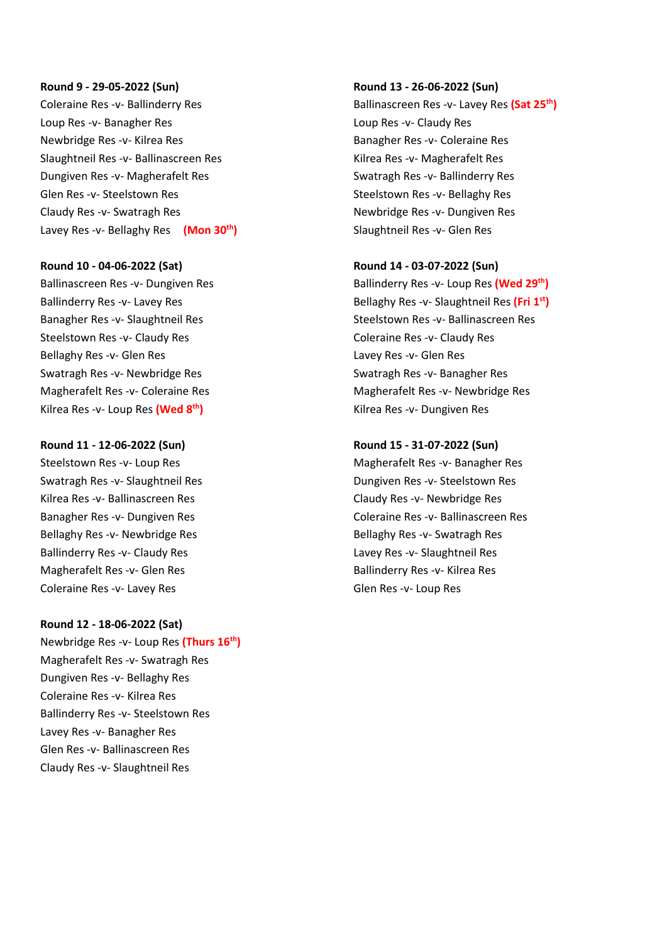#### **Round 9 - 29-05-2022 (Sun)**

Coleraine Res -v- Ballinderry Res Loup Res -v- Banagher Res Newbridge Res -v- Kilrea Res Slaughtneil Res -v- Ballinascreen Res Dungiven Res -v- Magherafelt Res Glen Res -v- Steelstown Res Claudy Res -v- Swatragh Res Lavey Res -v- Bellaghy Res **(Mon 30th)**

### **Round 10 - 04-06-2022 (Sat)**

Ballinascreen Res -v- Dungiven Res Ballinderry Res -v- Lavey Res Banagher Res -v- Slaughtneil Res Steelstown Res -v- Claudy Res Bellaghy Res -v- Glen Res Swatragh Res -v- Newbridge Res Magherafelt Res -v- Coleraine Res Kilrea Res -v- Loup Res **(Wed 8 th)**

#### **Round 11 - 12-06-2022 (Sun)**

Steelstown Res -v- Loup Res Swatragh Res -v- Slaughtneil Res Kilrea Res -v- Ballinascreen Res Banagher Res -v- Dungiven Res Bellaghy Res -v- Newbridge Res Ballinderry Res -v- Claudy Res Magherafelt Res -v- Glen Res Coleraine Res -v- Lavey Res

#### **Round 12 - 18-06-2022 (Sat)**

Newbridge Res -v- Loup Res **(Thurs 16th)** Magherafelt Res -v- Swatragh Res Dungiven Res -v- Bellaghy Res Coleraine Res -v- Kilrea Res Ballinderry Res -v- Steelstown Res Lavey Res -v- Banagher Res Glen Res -v- Ballinascreen Res Claudy Res -v- Slaughtneil Res

### **Round 13 - 26-06-2022 (Sun)**

Ballinascreen Res -v- Lavey Res **(Sat 25th)** Loup Res -v- Claudy Res Banagher Res -v- Coleraine Res Kilrea Res -v- Magherafelt Res Swatragh Res -v- Ballinderry Res Steelstown Res -v- Bellaghy Res Newbridge Res -v- Dungiven Res Slaughtneil Res -v- Glen Res

# **Round 14 - 03-07-2022 (Sun)**

Ballinderry Res -v- Loup Res **(Wed 29th)** Bellaghy Res -v- Slaughtneil Res **(Fri 1 st)** Steelstown Res -v- Ballinascreen Res Coleraine Res -v- Claudy Res Lavey Res -v- Glen Res Swatragh Res -v- Banagher Res Magherafelt Res -v- Newbridge Res Kilrea Res -v- Dungiven Res

#### **Round 15 - 31-07-2022 (Sun)**

Magherafelt Res -v- Banagher Res Dungiven Res -v- Steelstown Res Claudy Res -v- Newbridge Res Coleraine Res -v- Ballinascreen Res Bellaghy Res -v- Swatragh Res Lavey Res -v- Slaughtneil Res Ballinderry Res -v- Kilrea Res Glen Res -v- Loup Res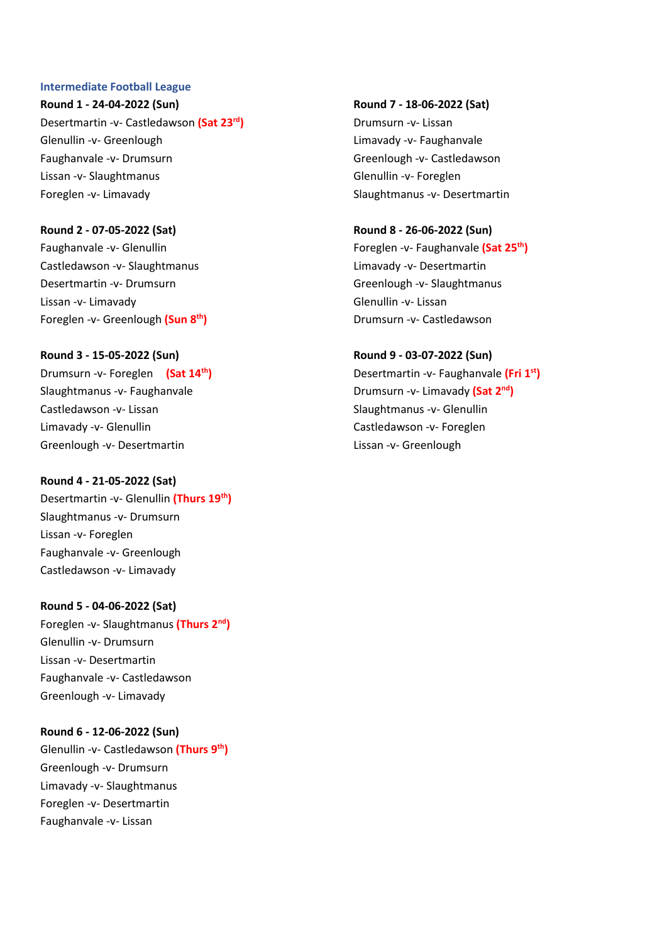# **Intermediate Football League**

**Round 1 - 24-04-2022 (Sun)** Desertmartin -v- Castledawson **(Sat 23rd)** Glenullin -v- Greenlough Faughanvale -v- Drumsurn Lissan -v- Slaughtmanus Foreglen -v- Limavady

**Round 2 - 07-05-2022 (Sat)** Faughanvale -v- Glenullin Castledawson -v- Slaughtmanus Desertmartin -v- Drumsurn Lissan -v- Limavady Foreglen -v- Greenlough **(Sun 8 th)**

# **Round 3 - 15-05-2022 (Sun)**

Drumsurn -v- Foreglen **(Sat 14th)** Slaughtmanus -v- Faughanvale Castledawson -v- Lissan Limavady -v- Glenullin Greenlough -v- Desertmartin

# **Round 4 - 21-05-2022 (Sat)**

Desertmartin -v- Glenullin **(Thurs 19th)** Slaughtmanus -v- Drumsurn Lissan -v- Foreglen Faughanvale -v- Greenlough Castledawson -v- Limavady

# **Round 5 - 04-06-2022 (Sat)**

Foreglen -v- Slaughtmanus **(Thurs 2nd)** Glenullin -v- Drumsurn Lissan -v- Desertmartin Faughanvale -v- Castledawson Greenlough -v- Limavady

**Round 6 - 12-06-2022 (Sun)** Glenullin -v- Castledawson **(Thurs 9th)** Greenlough -v- Drumsurn Limavady -v- Slaughtmanus

Foreglen -v- Desertmartin Faughanvale -v- Lissan

**Round 7 - 18-06-2022 (Sat)** Drumsurn -v- Lissan Limavady -v- Faughanvale Greenlough -v- Castledawson Glenullin -v- Foreglen Slaughtmanus -v- Desertmartin

**Round 8 - 26-06-2022 (Sun)** Foreglen -v- Faughanvale **(Sat 25th)** Limavady -v- Desertmartin Greenlough -v- Slaughtmanus Glenullin -v- Lissan Drumsurn -v- Castledawson

**Round 9 - 03-07-2022 (Sun)** Desertmartin -v- Faughanvale **(Fri 1 st)** Drumsurn -v- Limavady **(Sat 2nd)** Slaughtmanus -v- Glenullin Castledawson -v- Foreglen Lissan -v- Greenlough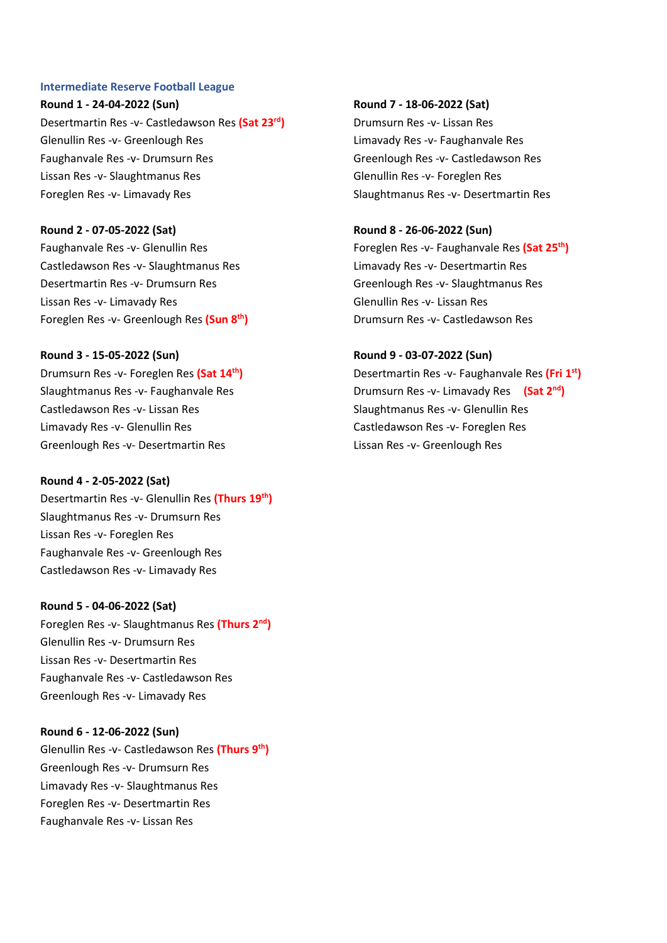### **Intermediate Reserve Football League**

**Round 1 - 24-04-2022 (Sun)** Desertmartin Res -v- Castledawson Res **(Sat 23rd)** Glenullin Res -v- Greenlough Res Faughanvale Res -v- Drumsurn Res Lissan Res -v- Slaughtmanus Res Foreglen Res -v- Limavady Res

**Round 2 - 07-05-2022 (Sat)** Faughanvale Res -v- Glenullin Res Castledawson Res -v- Slaughtmanus Res Desertmartin Res -v- Drumsurn Res Lissan Res -v- Limavady Res Foreglen Res -v- Greenlough Res **(Sun 8 th)**

# **Round 3 - 15-05-2022 (Sun)**

Drumsurn Res -v- Foreglen Res **(Sat 14th)** Slaughtmanus Res -v- Faughanvale Res Castledawson Res -v- Lissan Res Limavady Res -v- Glenullin Res Greenlough Res -v- Desertmartin Res

## **Round 4 - 2-05-2022 (Sat)**

Desertmartin Res -v- Glenullin Res **(Thurs 19th)** Slaughtmanus Res -v- Drumsurn Res Lissan Res -v- Foreglen Res Faughanvale Res -v- Greenlough Res Castledawson Res -v- Limavady Res

## **Round 5 - 04-06-2022 (Sat)**

Foreglen Res -v- Slaughtmanus Res **(Thurs 2nd)** Glenullin Res -v- Drumsurn Res Lissan Res -v- Desertmartin Res Faughanvale Res -v- Castledawson Res Greenlough Res -v- Limavady Res

## **Round 6 - 12-06-2022 (Sun)**

Glenullin Res -v- Castledawson Res **(Thurs 9th)** Greenlough Res -v- Drumsurn Res Limavady Res -v- Slaughtmanus Res Foreglen Res -v- Desertmartin Res Faughanvale Res -v- Lissan Res

**Round 7 - 18-06-2022 (Sat)** Drumsurn Res -v- Lissan Res Limavady Res -v- Faughanvale Res Greenlough Res -v- Castledawson Res Glenullin Res -v- Foreglen Res Slaughtmanus Res -v- Desertmartin Res

**Round 8 - 26-06-2022 (Sun)** Foreglen Res -v- Faughanvale Res **(Sat 25th)** Limavady Res -v- Desertmartin Res Greenlough Res -v- Slaughtmanus Res Glenullin Res -v- Lissan Res Drumsurn Res -v- Castledawson Res

**Round 9 - 03-07-2022 (Sun)** Desertmartin Res -v- Faughanvale Res **(Fri 1 st)** Drumsurn Res -v- Limavady Res **(Sat 2nd)** Slaughtmanus Res -v- Glenullin Res Castledawson Res -v- Foreglen Res Lissan Res -v- Greenlough Res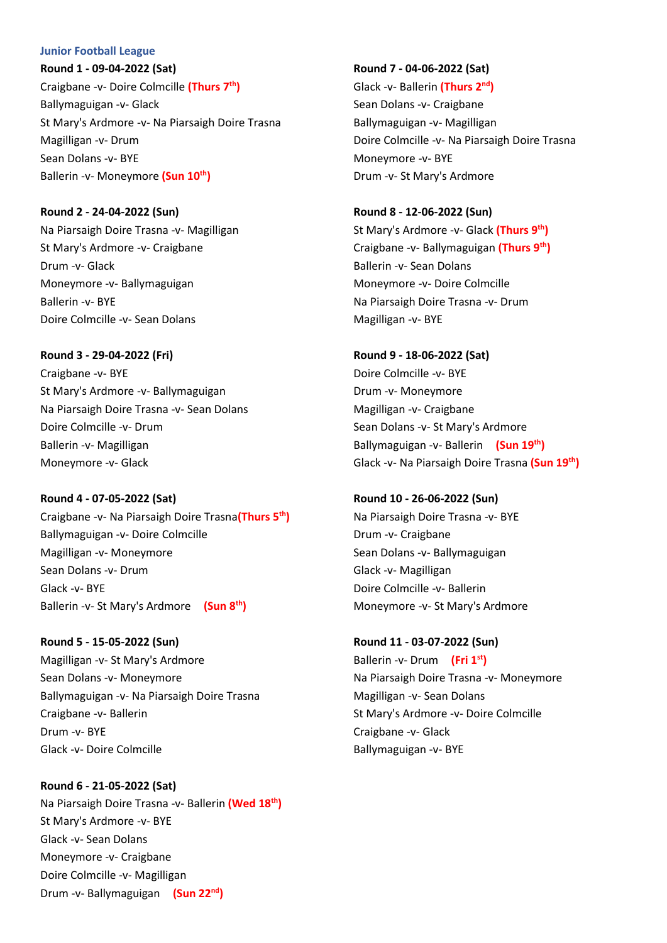### **Junior Football League**

**Round 1 - 09-04-2022 (Sat)** Craigbane -v- Doire Colmcille **(Thurs 7th)** Ballymaguigan -v- Glack St Mary's Ardmore -v- Na Piarsaigh Doire Trasna Magilligan -v- Drum Sean Dolans -v- BYE Ballerin -v- Moneymore **(Sun 10 th)**

**Round 2 - 24-04-2022 (Sun)**

Na Piarsaigh Doire Trasna -v- Magilligan St Mary's Ardmore -v- Craigbane Drum -v- Glack Moneymore -v- Ballymaguigan Ballerin -v- BYE Doire Colmcille -v- Sean Dolans

**Round 3 - 29-04-2022 (Fri)** Craigbane -v- BYE St Mary's Ardmore -v- Ballymaguigan Na Piarsaigh Doire Trasna -v- Sean Dolans Doire Colmcille -v- Drum Ballerin -v- Magilligan Moneymore -v- Glack

**Round 4 - 07-05-2022 (Sat)** Craigbane -v- Na Piarsaigh Doire Trasna**(Thurs 5 th)** Ballymaguigan -v- Doire Colmcille Magilligan -v- Moneymore Sean Dolans -v- Drum Glack -v- BYE Ballerin -v- St Mary's Ardmore **(Sun 8th)**

**Round 5 - 15-05-2022 (Sun)** Magilligan -v- St Mary's Ardmore Sean Dolans -v- Moneymore Ballymaguigan -v- Na Piarsaigh Doire Trasna Craigbane -v- Ballerin Drum -v- BYE Glack -v- Doire Colmcille

**Round 6 - 21-05-2022 (Sat)** Na Piarsaigh Doire Trasna -v- Ballerin **(Wed 18 th)** St Mary's Ardmore -v- BYE Glack -v- Sean Dolans Moneymore -v- Craigbane Doire Colmcille -v- Magilligan Drum -v- Ballymaguigan **(Sun 22nd)**

**Round 7 - 04-06-2022 (Sat)** Glack -v- Ballerin **(Thurs 2nd)** Sean Dolans -v- Craigbane Ballymaguigan -v- Magilligan Doire Colmcille -v- Na Piarsaigh Doire Trasna Moneymore -v- BYE Drum -v- St Mary's Ardmore

**Round 8 - 12-06-2022 (Sun)** St Mary's Ardmore -v- Glack **(Thurs 9th )** Craigbane -v- Ballymaguigan **(Thurs 9th )** Ballerin -v- Sean Dolans Moneymore -v- Doire Colmcille Na Piarsaigh Doire Trasna -v- Drum Magilligan -v- BYE

**Round 9 - 18-06-2022 (Sat)** Doire Colmcille -v- BYE Drum -v- Moneymore Magilligan -v- Craigbane Sean Dolans -v- St Mary's Ardmore Ballymaguigan -v- Ballerin **(Sun 19 th )** Glack -v- Na Piarsaigh Doire Trasna **(Sun 19 th )**

**Round 10 - 26-06-2022 (Sun)** Na Piarsaigh Doire Trasna -v- BYE Drum -v- Craigbane Sean Dolans -v- Ballymaguigan Glack -v- Magilligan Doire Colmcille -v- Ballerin Moneymore -v- St Mary's Ardmore

**Round 11 - 03-07-2022 (Sun)** Ballerin -v- Drum **(Fri 1st)** Na Piarsaigh Doire Trasna -v- Moneymore Magilligan -v- Sean Dolans St Mary's Ardmore -v- Doire Colmcille Craigbane -v- Glack Ballymaguigan -v- BYE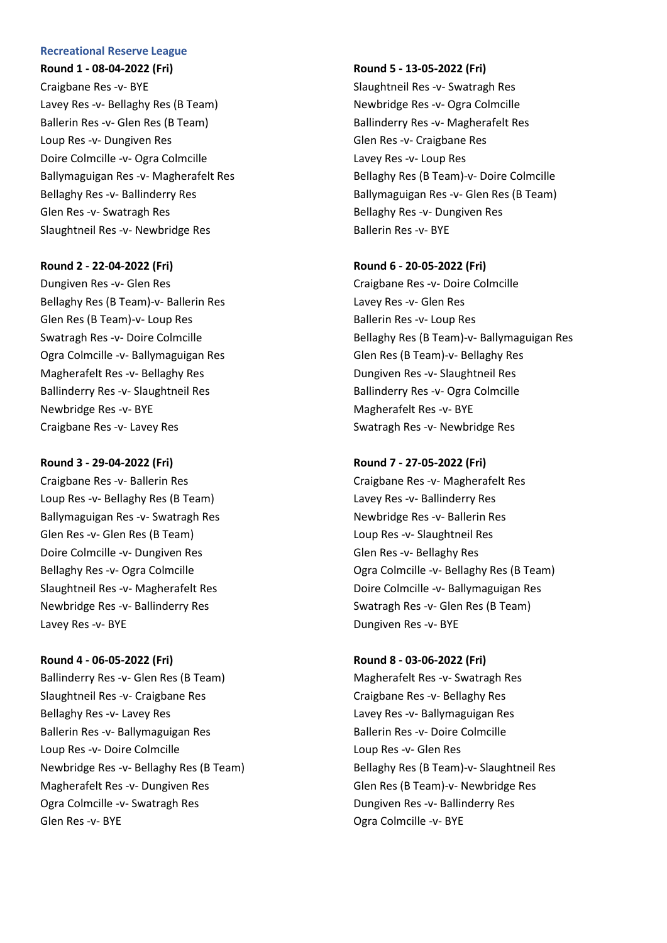### **Recreational Reserve League**

**Round 1 - 08-04-2022 (Fri)** Craigbane Res -v- BYE Lavey Res -v- Bellaghy Res (B Team) Ballerin Res -v- Glen Res (B Team) Loup Res -v- Dungiven Res Doire Colmcille -v- Ogra Colmcille Ballymaguigan Res -v- Magherafelt Res Bellaghy Res -v- Ballinderry Res Glen Res -v- Swatragh Res Slaughtneil Res -v- Newbridge Res

### **Round 2 - 22-04-2022 (Fri)**

Dungiven Res -v- Glen Res Bellaghy Res (B Team)-v- Ballerin Res Glen Res (B Team)-v- Loup Res Swatragh Res -v- Doire Colmcille Ogra Colmcille -v- Ballymaguigan Res Magherafelt Res -v- Bellaghy Res Ballinderry Res -v- Slaughtneil Res Newbridge Res -v- BYE Craigbane Res -v- Lavey Res

#### **Round 3 - 29-04-2022 (Fri)**

Craigbane Res -v- Ballerin Res Loup Res -v- Bellaghy Res (B Team) Ballymaguigan Res -v- Swatragh Res Glen Res -v- Glen Res (B Team) Doire Colmcille -v- Dungiven Res Bellaghy Res -v- Ogra Colmcille Slaughtneil Res -v- Magherafelt Res Newbridge Res -v- Ballinderry Res Lavey Res -v- BYE

**Round 4 - 06-05-2022 (Fri)** Ballinderry Res -v- Glen Res (B Team) Slaughtneil Res -v- Craigbane Res Bellaghy Res -v- Lavey Res Ballerin Res -v- Ballymaguigan Res Loup Res -v- Doire Colmcille Newbridge Res -v- Bellaghy Res (B Team) Magherafelt Res -v- Dungiven Res Ogra Colmcille -v- Swatragh Res Glen Res -v- BYE

#### **Round 5 - 13-05-2022 (Fri)**

Slaughtneil Res -v- Swatragh Res Newbridge Res -v- Ogra Colmcille Ballinderry Res -v- Magherafelt Res Glen Res -v- Craigbane Res Lavey Res -v- Loup Res Bellaghy Res (B Team)-v- Doire Colmcille Ballymaguigan Res -v- Glen Res (B Team) Bellaghy Res -v- Dungiven Res Ballerin Res -v- BYE

## **Round 6 - 20-05-2022 (Fri)**

Craigbane Res -v- Doire Colmcille Lavey Res -v- Glen Res Ballerin Res -v- Loup Res Bellaghy Res (B Team)-v- Ballymaguigan Res Glen Res (B Team)-v- Bellaghy Res Dungiven Res -v- Slaughtneil Res Ballinderry Res -v- Ogra Colmcille Magherafelt Res -v- BYE Swatragh Res -v- Newbridge Res

### **Round 7 - 27-05-2022 (Fri)**

Craigbane Res -v- Magherafelt Res Lavey Res -v- Ballinderry Res Newbridge Res -v- Ballerin Res Loup Res -v- Slaughtneil Res Glen Res -v- Bellaghy Res Ogra Colmcille -v- Bellaghy Res (B Team) Doire Colmcille -v- Ballymaguigan Res Swatragh Res -v- Glen Res (B Team) Dungiven Res -v- BYE

#### **Round 8 - 03-06-2022 (Fri)**

Magherafelt Res -v- Swatragh Res Craigbane Res -v- Bellaghy Res Lavey Res -v- Ballymaguigan Res Ballerin Res -v- Doire Colmcille Loup Res -v- Glen Res Bellaghy Res (B Team)-v- Slaughtneil Res Glen Res (B Team)-v- Newbridge Res Dungiven Res -v- Ballinderry Res Ogra Colmcille -v- BYE